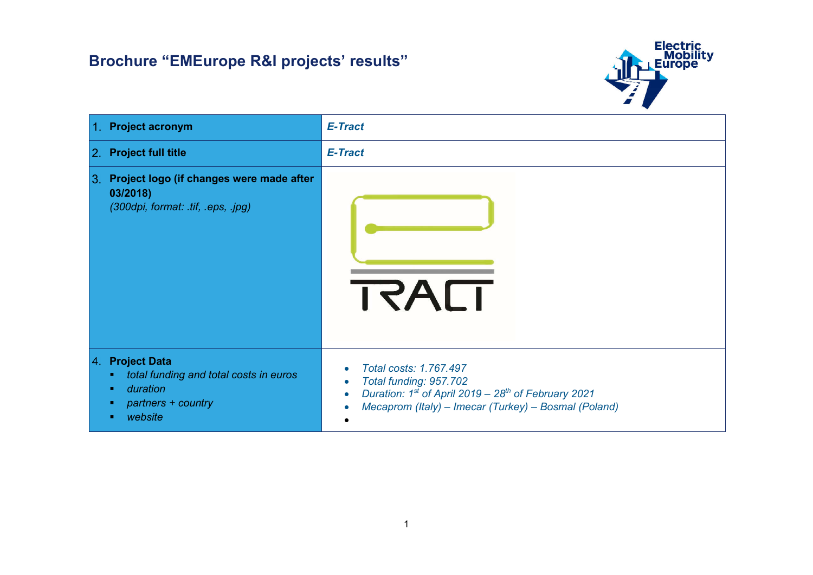

| 1. Project acronym                                                                                                                                     | E-Tract                                                                                                                                                                          |
|--------------------------------------------------------------------------------------------------------------------------------------------------------|----------------------------------------------------------------------------------------------------------------------------------------------------------------------------------|
| 2. Project full title                                                                                                                                  | E-Tract                                                                                                                                                                          |
| 3. Project logo (if changes were made after<br>03/2018)<br>(300dpi, format: .tif, .eps, .jpg)                                                          | TRACT                                                                                                                                                                            |
| 4. Project Data<br>total funding and total costs in euros<br>$\blacksquare$<br>duration<br>$\blacksquare$<br>partners + country<br>п.<br>website<br>п. | Total costs: 1.767.497<br>Total funding: 957.702<br>Duration: $1^{st}$ of April 2019 – 28 <sup>th</sup> of February 2021<br>Mecaprom (Italy) - Imecar (Turkey) - Bosmal (Poland) |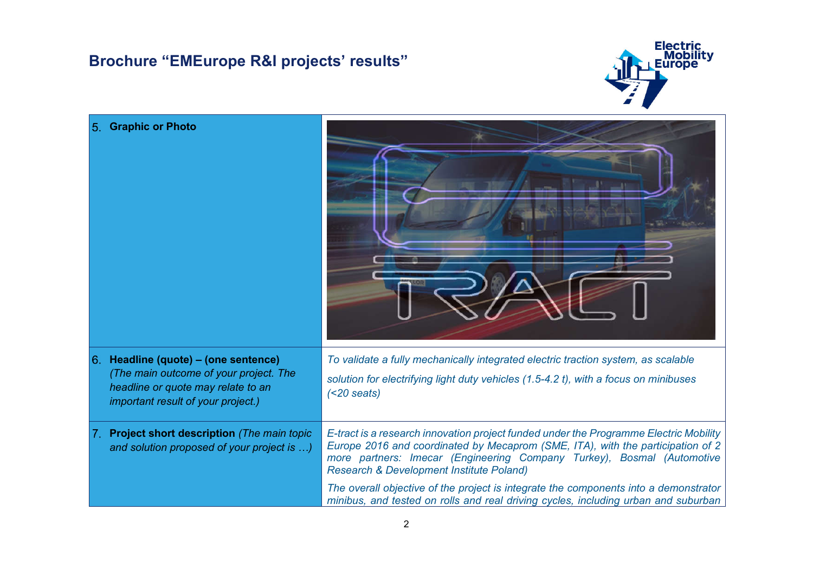

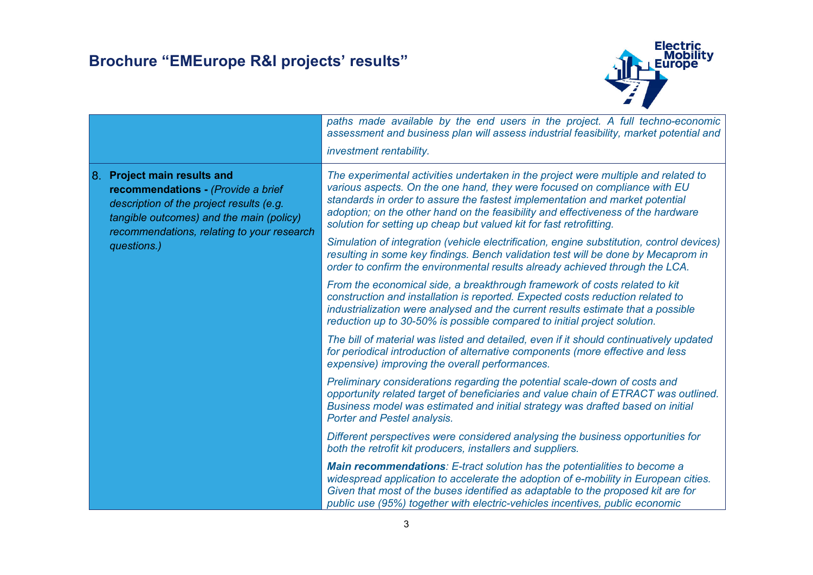

|                                                                                                                                                                                                                        | paths made available by the end users in the project. A full techno-economic<br>assessment and business plan will assess industrial feasibility, market potential and<br>investment rentability.                                                                                                                                                                                                           |
|------------------------------------------------------------------------------------------------------------------------------------------------------------------------------------------------------------------------|------------------------------------------------------------------------------------------------------------------------------------------------------------------------------------------------------------------------------------------------------------------------------------------------------------------------------------------------------------------------------------------------------------|
| 8. Project main results and<br>recommendations - (Provide a brief<br>description of the project results (e.g.<br>tangible outcomes) and the main (policy)<br>recommendations, relating to your research<br>questions.) | The experimental activities undertaken in the project were multiple and related to<br>various aspects. On the one hand, they were focused on compliance with EU<br>standards in order to assure the fastest implementation and market potential<br>adoption; on the other hand on the feasibility and effectiveness of the hardware<br>solution for setting up cheap but valued kit for fast retrofitting. |
|                                                                                                                                                                                                                        | Simulation of integration (vehicle electrification, engine substitution, control devices)<br>resulting in some key findings. Bench validation test will be done by Mecaprom in<br>order to confirm the environmental results already achieved through the LCA.                                                                                                                                             |
|                                                                                                                                                                                                                        | From the economical side, a breakthrough framework of costs related to kit<br>construction and installation is reported. Expected costs reduction related to<br>industrialization were analysed and the current results estimate that a possible<br>reduction up to 30-50% is possible compared to initial project solution.                                                                               |
|                                                                                                                                                                                                                        | The bill of material was listed and detailed, even if it should continuatively updated<br>for periodical introduction of alternative components (more effective and less<br>expensive) improving the overall performances.                                                                                                                                                                                 |
|                                                                                                                                                                                                                        | Preliminary considerations regarding the potential scale-down of costs and<br>opportunity related target of beneficiaries and value chain of ETRACT was outlined.<br>Business model was estimated and initial strategy was drafted based on initial<br><b>Porter and Pestel analysis.</b>                                                                                                                  |
|                                                                                                                                                                                                                        | Different perspectives were considered analysing the business opportunities for<br>both the retrofit kit producers, installers and suppliers.                                                                                                                                                                                                                                                              |
|                                                                                                                                                                                                                        | <b>Main recommendations:</b> E-tract solution has the potentialities to become a<br>widespread application to accelerate the adoption of e-mobility in European cities.<br>Given that most of the buses identified as adaptable to the proposed kit are for<br>public use (95%) together with electric-vehicles incentives, public economic                                                                |